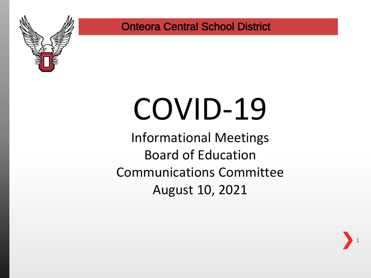

# COVID-19

Informational Meetings Board of Education Communications Committee August 10, 2021

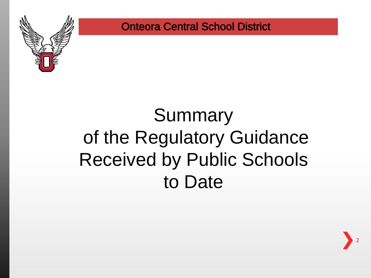

## Summary of the Regulatory Guidance Received by Public Schools to Date

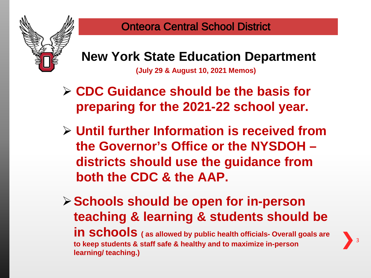

#### **New York State Education Department**

**(July 29 & August 10, 2021 Memos)** 

- **CDC Guidance should be the basis for preparing for the 2021-22 school year.**
- **Until further Information is received from the Governor's Office or the NYSDOH – districts should use the guidance from both the CDC & the AAP.**
- **Schools should be open for in-person teaching & learning & students should be in schools ( as allowed by public health officials- Overall goals are to keep students & staff safe & healthy and to maximize in-person learning/ teaching.)**

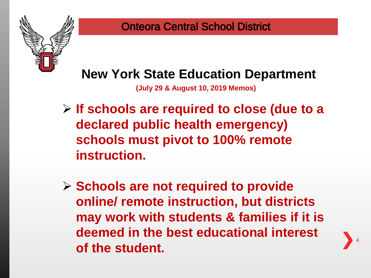

#### **New York State Education Department**

**(July 29 & August 10, 2019 Memos)** 

- **If schools are required to close (due to a declared public health emergency) schools must pivot to 100% remote instruction.**
- **Schools are not required to provide online/ remote instruction, but districts may work with students & families if it is deemed in the best educational interest of the student.**

4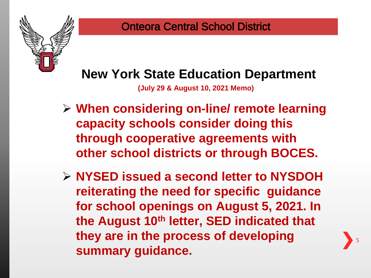### **New York State Education Department**

**(July 29 & August 10, 2021 Memo)** 

- **When considering on-line/ remote learning capacity schools consider doing this through cooperative agreements with other school districts or through BOCES.**
- **NYSED issued a second letter to NYSDOH reiterating the need for specific guidance for school openings on August 5, 2021. In the August 10th letter, SED indicated that they are in the process of developing summary guidance.**

5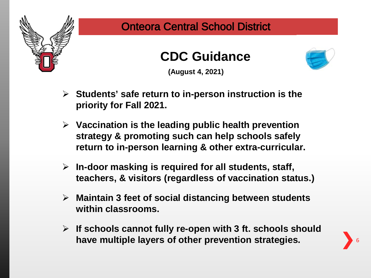





**(August 4, 2021)**

- **Students' safe return to in-person instruction is the priority for Fall 2021.**
- **Vaccination is the leading public health prevention strategy & promoting such can help schools safely return to in-person learning & other extra-curricular.**
- **In-door masking is required for all students, staff, teachers, & visitors (regardless of vaccination status.)**
- **Maintain 3 feet of social distancing between students within classrooms.**
- **If schools cannot fully re-open with 3 ft. schools should have multiple layers of other prevention strategies.**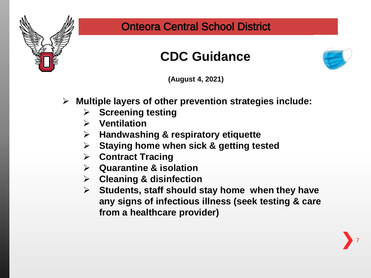

#### **CDC Guidance**



**(August 4, 2021)**

- **Multiple layers of other prevention strategies include:**
	- **Screening testing**
	- **Ventilation**
	- **Handwashing & respiratory etiquette**
	- **Staying home when sick & getting tested**
	- **Contract Tracing**
	- **Quarantine & isolation**
	- **Cleaning & disinfection**
	- **Students, staff should stay home when they have any signs of infectious illness (seek testing & care from a healthcare provider)**

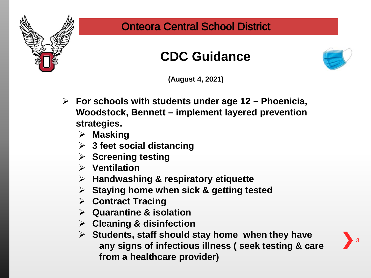

#### **CDC Guidance**



**(August 4, 2021)**

- **For schools with students under age 12 – Phoenicia, Woodstock, Bennett – implement layered prevention strategies.** 
	- **Masking**
	- **3 feet social distancing**
	- **Screening testing**
	- **Ventilation**
	- **Handwashing & respiratory etiquette**
	- **Staying home when sick & getting tested**
	- **Contract Tracing**
	- **Quarantine & isolation**
	- **Cleaning & disinfection**
	- **Students, staff should stay home when they have any signs of infectious illness ( seek testing & care from a healthcare provider)**

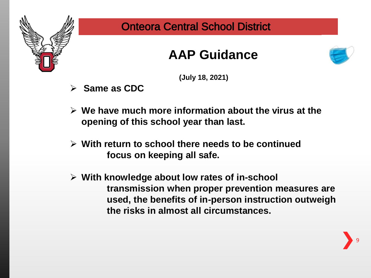

#### **AAP Guidance**



**(July 18, 2021)**

- **Same as CDC**
- **We have much more information about the virus at the opening of this school year than last.**
- **With return to school there needs to be continued focus on keeping all safe.**
- **With knowledge about low rates of in-school transmission when proper prevention measures are used, the benefits of in-person instruction outweigh the risks in almost all circumstances.**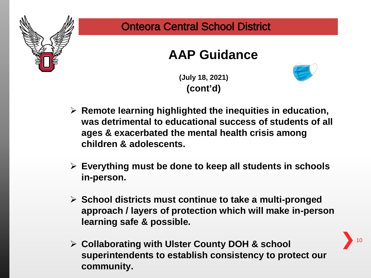

#### **AAP Guidance**

**(July 18, 2021) (cont'd)**



- **Remote learning highlighted the inequities in education, was detrimental to educational success of students of all ages & exacerbated the mental health crisis among children & adolescents.**
- **Everything must be done to keep all students in schools in-person.**
- **School districts must continue to take a multi-pronged approach / layers of protection which will make in-person learning safe & possible.**
- **Collaborating with Ulster County DOH & school superintendents to establish consistency to protect our community.**

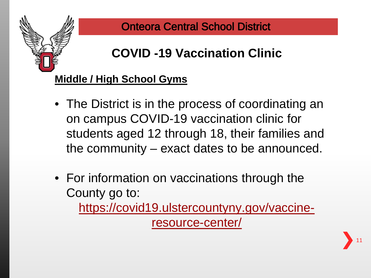

## **COVID -19 Vaccination Clinic**

#### **Middle / High School Gyms**

- The District is in the process of coordinating an on campus COVID-19 vaccination clinic for students aged 12 through 18, their families and the community – exact dates to be announced.
- For information on vaccinations through the County go to: [https://covid19.ulstercountyny.gov/vaccine](https://covid19.ulstercountyny.gov/vaccine-resource-center/)resource-center/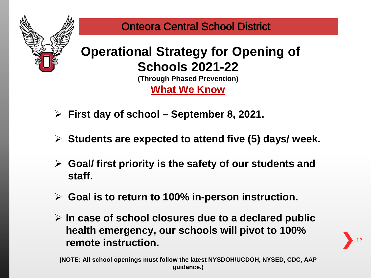

## **Operational Strategy for Opening of Schools 2021-22**

**(Through Phased Prevention) What We Know**

- **First day of school – September 8, 2021.**
- **Students are expected to attend five (5) days/ week.**
- **Goal/ first priority is the safety of our students and staff.**
- **Goal is to return to 100% in-person instruction.**
- **In case of school closures due to a declared public health emergency, our schools will pivot to 100% remote instruction.**

12

**(NOTE: All school openings must follow the latest NYSDOH/UCDOH, NYSED, CDC, AAP guidance.)**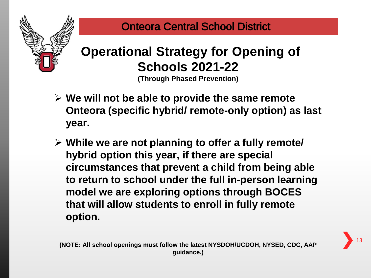

## **Operational Strategy for Opening of Schools 2021-22**

**(Through Phased Prevention)**

- **We will not be able to provide the same remote Onteora (specific hybrid/ remote-only option) as last year.**
- **While we are not planning to offer a fully remote/ hybrid option this year, if there are special circumstances that prevent a child from being able to return to school under the full in-person learning model we are exploring options through BOCES that will allow students to enroll in fully remote option.**

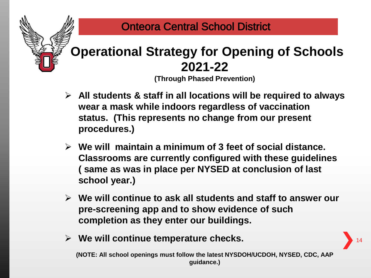

#### **Operational Strategy for Opening of Schools 2021-22**

**(Through Phased Prevention)**

- **All students & staff in all locations will be required to always wear a mask while indoors regardless of vaccination status. (This represents no change from our present procedures.)**
- **We will maintain a minimum of 3 feet of social distance. Classrooms are currently configured with these guidelines ( same as was in place per NYSED at conclusion of last school year.)**
- **We will continue to ask all students and staff to answer our pre-screening app and to show evidence of such completion as they enter our buildings.**
- **We will continue temperature checks.**

**(NOTE: All school openings must follow the latest NYSDOH/UCDOH, NYSED, CDC, AAP guidance.)**

14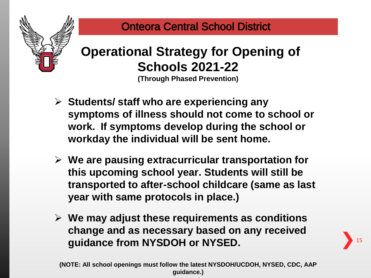

#### **Operational Strategy for Opening of Schools 2021-22**

**(Through Phased Prevention)**

- **Students/ staff who are experiencing any symptoms of illness should not come to school or work. If symptoms develop during the school or workday the individual will be sent home.**
- **We are pausing extracurricular transportation for this upcoming school year. Students will still be transported to after-school childcare (same as last year with same protocols in place.)**
- **We may adjust these requirements as conditions change and as necessary based on any received guidance from NYSDOH or NYSED.**

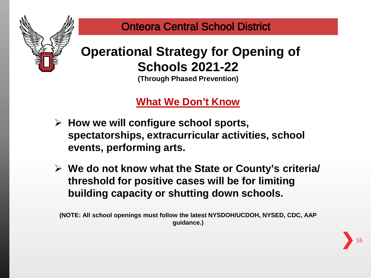

## **Operational Strategy for Opening of Schools 2021-22**

**(Through Phased Prevention)**

#### **What We Don't Know**

- **How we will configure school sports, spectatorships, extracurricular activities, school events, performing arts.**
- **We do not know what the State or County's criteria/ threshold for positive cases will be for limiting building capacity or shutting down schools.**

**(NOTE: All school openings must follow the latest NYSDOH/UCDOH, NYSED, CDC, AAP guidance.)**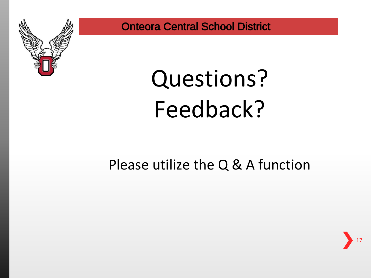

## Questions? Feedback?

### Please utilize the Q & A function